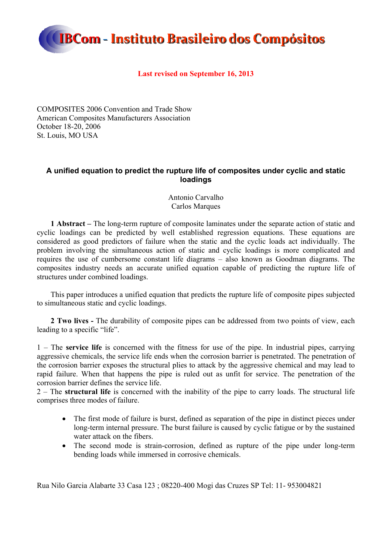

### **Last revised on September 16, 2013**

COMPOSITES 2006 Convention and Trade Show American Composites Manufacturers Association October 18-20, 2006 St. Louis, MO USA

## **A unified equation to predict the rupture life of composites under cyclic and static loadings**

Antonio Carvalho Carlos Marques

**1 Abstract –** The long-term rupture of composite laminates under the separate action of static and cyclic loadings can be predicted by well established regression equations. These equations are considered as good predictors of failure when the static and the cyclic loads act individually. The problem involving the simultaneous action of static and cyclic loadings is more complicated and requires the use of cumbersome constant life diagrams – also known as Goodman diagrams. The composites industry needs an accurate unified equation capable of predicting the rupture life of structures under combined loadings.

This paper introduces a unified equation that predicts the rupture life of composite pipes subjected to simultaneous static and cyclic loadings.

**2 Two lives -** The durability of composite pipes can be addressed from two points of view, each leading to a specific "life".

1 – The **service life** is concerned with the fitness for use of the pipe. In industrial pipes, carrying aggressive chemicals, the service life ends when the corrosion barrier is penetrated. The penetration of the corrosion barrier exposes the structural plies to attack by the aggressive chemical and may lead to rapid failure. When that happens the pipe is ruled out as unfit for service. The penetration of the corrosion barrier defines the service life.

2 – The **structural life** is concerned with the inability of the pipe to carry loads. The structural life comprises three modes of failure.

- The first mode of failure is burst, defined as separation of the pipe in distinct pieces under long-term internal pressure. The burst failure is caused by cyclic fatigue or by the sustained water attack on the fibers.
- The second mode is strain-corrosion, defined as rupture of the pipe under long-term bending loads while immersed in corrosive chemicals.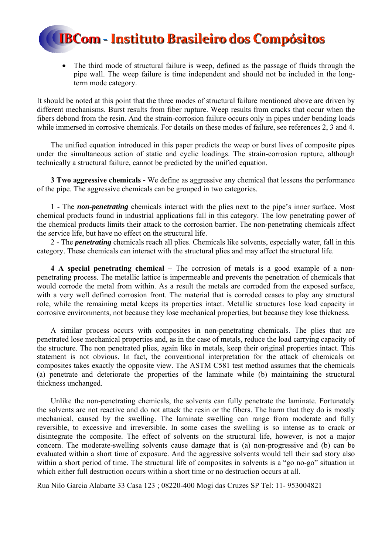The third mode of structural failure is weep, defined as the passage of fluids through the pipe wall. The weep failure is time independent and should not be included in the longterm mode category.

It should be noted at this point that the three modes of structural failure mentioned above are driven by different mechanisms. Burst results from fiber rupture. Weep results from cracks that occur when the fibers debond from the resin. And the strain-corrosion failure occurs only in pipes under bending loads while immersed in corrosive chemicals. For details on these modes of failure, see references 2, 3 and 4.

The unified equation introduced in this paper predicts the weep or burst lives of composite pipes under the simultaneous action of static and cyclic loadings. The strain-corrosion rupture, although technically a structural failure, cannot be predicted by the unified equation.

**3 Two aggressive chemicals -** We define as aggressive any chemical that lessens the performance of the pipe. The aggressive chemicals can be grouped in two categories.

1 - The *non-penetrating* chemicals interact with the plies next to the pipe's inner surface. Most chemical products found in industrial applications fall in this category. The low penetrating power of the chemical products limits their attack to the corrosion barrier. The non-penetrating chemicals affect the service life, but have no effect on the structural life.

2 - The *penetrating* chemicals reach all plies. Chemicals like solvents, especially water, fall in this category. These chemicals can interact with the structural plies and may affect the structural life.

**4 A special penetrating chemical –** The corrosion of metals is a good example of a nonpenetrating process. The metallic lattice is impermeable and prevents the penetration of chemicals that would corrode the metal from within. As a result the metals are corroded from the exposed surface, with a very well defined corrosion front. The material that is corroded ceases to play any structural role, while the remaining metal keeps its properties intact. Metallic structures lose load capacity in corrosive environments, not because they lose mechanical properties, but because they lose thickness.

A similar process occurs with composites in non-penetrating chemicals. The plies that are penetrated lose mechanical properties and, as in the case of metals, reduce the load carrying capacity of the structure. The non penetrated plies, again like in metals, keep their original properties intact. This statement is not obvious. In fact, the conventional interpretation for the attack of chemicals on composites takes exactly the opposite view. The ASTM C581 test method assumes that the chemicals (a) penetrate and deteriorate the properties of the laminate while (b) maintaining the structural thickness unchanged.

Unlike the non-penetrating chemicals, the solvents can fully penetrate the laminate. Fortunately the solvents are not reactive and do not attack the resin or the fibers. The harm that they do is mostly mechanical, caused by the swelling. The laminate swelling can range from moderate and fully reversible, to excessive and irreversible. In some cases the swelling is so intense as to crack or disintegrate the composite. The effect of solvents on the structural life, however, is not a major concern. The moderate-swelling solvents cause damage that is (a) non-progressive and (b) can be evaluated within a short time of exposure. And the aggressive solvents would tell their sad story also within a short period of time. The structural life of composites in solvents is a "go no-go" situation in which either full destruction occurs within a short time or no destruction occurs at all.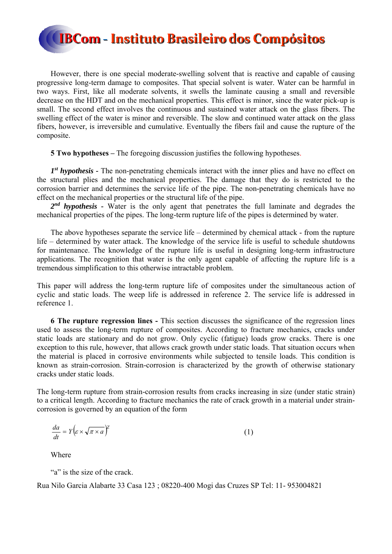However, there is one special moderate-swelling solvent that is reactive and capable of causing progressive long-term damage to composites. That special solvent is water. Water can be harmful in two ways. First, like all moderate solvents, it swells the laminate causing a small and reversible decrease on the HDT and on the mechanical properties. This effect is minor, since the water pick-up is small. The second effect involves the continuous and sustained water attack on the glass fibers. The swelling effect of the water is minor and reversible. The slow and continued water attack on the glass fibers, however, is irreversible and cumulative. Eventually the fibers fail and cause the rupture of the composite.

**5 Two hypotheses –** The foregoing discussion justifies the following hypotheses.

*1st hypothesis -* The non-penetrating chemicals interact with the inner plies and have no effect on the structural plies and the mechanical properties. The damage that they do is restricted to the corrosion barrier and determines the service life of the pipe. The non-penetrating chemicals have no effect on the mechanical properties or the structural life of the pipe.

*2nd hypothesis -* Water is the only agent that penetrates the full laminate and degrades the mechanical properties of the pipes. The long-term rupture life of the pipes is determined by water.

The above hypotheses separate the service life – determined by chemical attack - from the rupture life – determined by water attack. The knowledge of the service life is useful to schedule shutdowns for maintenance. The knowledge of the rupture life is useful in designing long-term infrastructure applications. The recognition that water is the only agent capable of affecting the rupture life is a tremendous simplification to this otherwise intractable problem.

This paper will address the long-term rupture life of composites under the simultaneous action of cyclic and static loads. The weep life is addressed in reference 2. The service life is addressed in reference 1.

**6 The rupture regression lines -** This section discusses the significance of the regression lines used to assess the long-term rupture of composites. According to fracture mechanics, cracks under static loads are stationary and do not grow. Only cyclic (fatigue) loads grow cracks. There is one exception to this rule, however, that allows crack growth under static loads. That situation occurs when the material is placed in corrosive environments while subjected to tensile loads. This condition is known as strain-corrosion. Strain-corrosion is characterized by the growth of otherwise stationary cracks under static loads.

The long-term rupture from strain-corrosion results from cracks increasing in size (under static strain) to a critical length. According to fracture mechanics the rate of crack growth in a material under straincorrosion is governed by an equation of the form

$$
\frac{da}{dt} = Y \left( \varepsilon \times \sqrt{\pi \times a} \right)^2 \tag{1}
$$

Where

"a" is the size of the crack.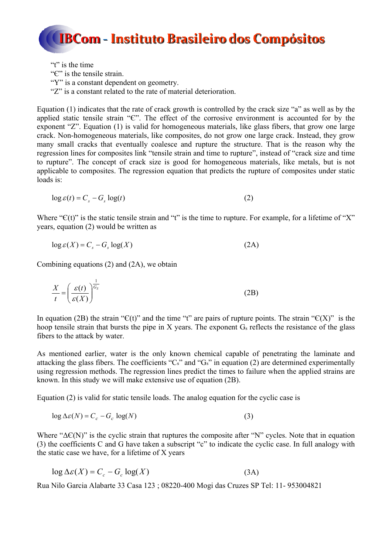

"t" is the time" "Є" is the tensile strain. "Y" is a constant dependent on geometry. "Z" is a constant related to the rate of material deterioration."

Equation (1) indicates that the rate of crack growth is controlled by the crack size "a" as well as by the applied static tensile strain "Є". The effect of the corrosive environment is accounted for by the exponent "Z". Equation (1) is valid for homogeneous materials, like glass fibers, that grow one large crack. Non-homogeneous materials, like composites, do not grow one large crack. Instead, they grow many small cracks that eventually coalesce and rupture the structure. That is the reason why the regression lines for composites link "tensile strain and time to rupture", instead of "crack size and time to rupture". The concept of crack size is good for homogeneous materials, like metals, but is not applicable to composites. The regression equation that predicts the rupture of composites under static loads is:

$$
\log \varepsilon(t) = C_s - G_s \log(t) \tag{2}
$$

Where " $C(t)$ " is the static tensile strain and "t" is the time to rupture. For example, for a lifetime of "X" years, equation (2) would be written as

$$
\log \varepsilon(X) = C_s - G_s \log(X) \tag{2A}
$$

Combining equations (2) and (2A), we obtain

$$
\frac{X}{t} = \left(\frac{\varepsilon(t)}{\varepsilon(X)}\right)^{\frac{1}{G_s}}
$$
\n(2B)

In equation (2B) the strain " $C(t)$ " and the time "t" are pairs of rupture points. The strain " $C(X)$ " is the hoop tensile strain that bursts the pipe in X years. The exponent G<sub>s</sub> reflects the resistance of the glass fibers to the attack by water.

As mentioned earlier, water is the only known chemical capable of penetrating the laminate and attacking the glass fibers. The coefficients " $C_s$ " and " $G_s$ " in equation (2) are determined experimentally using regression methods. The regression lines predict the times to failure when the applied strains are known. In this study we will make extensive use of equation (2B).

Equation (2) is valid for static tensile loads. The analog equation for the cyclic case is

$$
\log \Delta \varepsilon(N) = C_c - G_c \log(N) \tag{3}
$$

Where " $\Delta f(N)$ " is the cyclic strain that ruptures the composite after "N" cycles. Note that in equation (3) the coefficients C and G have taken a subscript "c" to indicate the cyclic case. In full analogy with the static case we have, for a lifetime of X years

$$
\log \Delta \varepsilon(X) = C_c - G_c \log(X) \tag{3A}
$$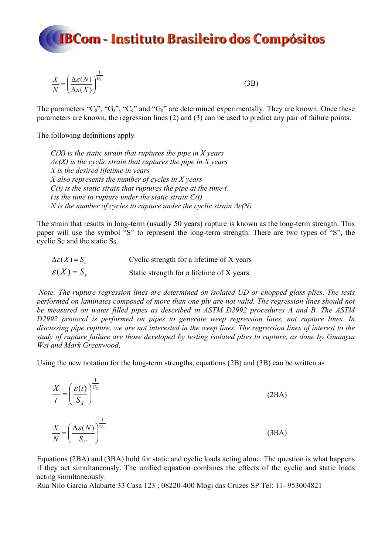

$$
\frac{X}{N} = \left(\frac{\Delta \varepsilon(N)}{\Delta \varepsilon(X)}\right)^{\frac{1}{G_c}}\tag{3B}
$$

The parameters " $C_s$ ", " $G_s$ ", " $C_c$ " and " $G_c$ " are determined experimentally. They are known. Once these parameters are known, the regression lines (2) and (3) can be used to predict any pair of failure points.

The following definitions apply

 $\overline{1}$ 

*Є(X) is the static strain that ruptures the pipe in X years Δє(X) is the cyclic strain that ruptures the pipe in X years X is the desired lifetime in years X also represents the number of cycles in X years*   $E(t)$  is the static strain that ruptures the pipe at the time t. *t is the time to rupture under the static strain*  $E(t)$ *N* is the number of cycles to rupture under the cyclic strain  $\Delta \epsilon$ (N)

The strain that results in long-term (usually 50 years) rupture is known as the long-term strength. This paper will use the symbol "S" to represent the long-term strength. There are two types of "S", the cyclic S<sub>c</sub> and the static S<sub>s</sub>.

| $\Delta \varepsilon(X) = S_c$ | Cyclic strength for a lifetime of X years |
|-------------------------------|-------------------------------------------|
| $\varepsilon(X) = S_{s}$      | Static strength for a lifetime of X years |

*Note: The rupture regression lines are determined on isolated UD or chopped glass plies. The tests performed on laminates composed of more than one ply are not valid. The regression lines should not be measured on water filled pipes as described in ASTM D2992 procedures A and B. The ASTM D2992 protocol is performed on pipes to generate weep regression lines, not rupture lines. In discussing pipe rupture, we are not interested in the weep lines. The regression lines of interest to the study of rupture failure are those developed by testing isolated plies to rupture, as done by Guangxu Wei and Mark Greenwood*.

Using the new notation for the long-term strengths, equations (2B) and (3B) can be written as

| $\frac{X}{t} = \left(\frac{\varepsilon(t)}{S_s}\right)^{\overline{G_s}}$       | (2BA) |
|--------------------------------------------------------------------------------|-------|
| $\frac{X}{N} = \left(\frac{\Delta \varepsilon(N)}{S_C}\right)^{\frac{1}{G_C}}$ | (3BA) |

Equations (2BA) and (3BA) hold for static and cyclic loads acting alone. The question is what happens if they act simultaneously. The unified equation combines the effects of the cyclic and static loads acting simultaneously.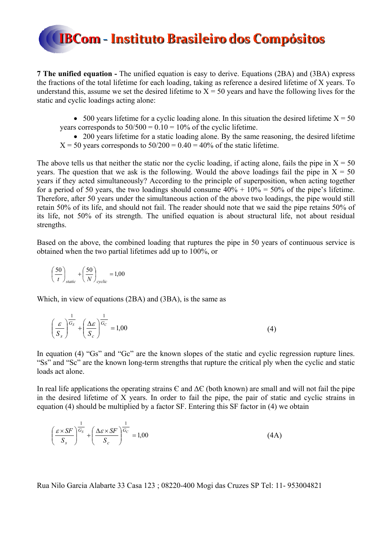**7 The unified equation -** The unified equation is easy to derive. Equations (2BA) and (3BA) express the fractions of the total lifetime for each loading, taking as reference a desired lifetime of X years. To understand this, assume we set the desired lifetime to  $X = 50$  years and have the following lives for the static and cyclic loadings acting alone:

 $\bullet$  500 years lifetime for a cyclic loading alone. In this situation the desired lifetime  $X = 50$ years corresponds to  $50/500 = 0.10 = 10\%$  of the cyclic lifetime.

 200 years lifetime for a static loading alone. By the same reasoning, the desired lifetime  $X = 50$  years corresponds to  $50/200 = 0.40 = 40\%$  of the static lifetime.

The above tells us that neither the static nor the cyclic loading, if acting alone, fails the pipe in  $X = 50$ years. The question that we ask is the following. Would the above loadings fail the pipe in  $X = 50$ years if they acted simultaneously? According to the principle of superposition, when acting together for a period of 50 years, the two loadings should consume  $40\% + 10\% = 50\%$  of the pipe's lifetime. Therefore, after 50 years under the simultaneous action of the above two loadings, the pipe would still retain 50% of its life, and should not fail. The reader should note that we said the pipe retains 50% of its life, not 50% of its strength. The unified equation is about structural life, not about residual strengths.

Based on the above, the combined loading that ruptures the pipe in 50 years of continuous service is obtained when the two partial lifetimes add up to 100%, or

$$
\left(\frac{50}{t}\right)_{static} + \left(\frac{50}{N}\right)_{cyclic} = 1,00
$$

Which, in view of equations (2BA) and (3BA), is the same as

$$
\left(\frac{\varepsilon}{S_s}\right)^{\frac{1}{G_s}} + \left(\frac{\Delta\varepsilon}{S_c}\right)^{\frac{1}{G_c}} = 1,00\tag{4}
$$

In equation (4) "Gs" and "Gc" are the known slopes of the static and cyclic regression rupture lines. "Ss" and "Sc" are the known long-term strengths that rupture the critical ply when the cyclic and static loads act alone.

In real life applications the operating strains  $\epsilon$  and  $\Delta \epsilon$  (both known) are small and will not fail the pipe in the desired lifetime of X years. In order to fail the pipe, the pair of static and cyclic strains in equation (4) should be multiplied by a factor SF. Entering this SF factor in (4) we obtain

$$
\left(\frac{\varepsilon \times SF}{S_s}\right)^{\frac{1}{G_s}} + \left(\frac{\Delta \varepsilon \times SF}{S_c}\right)^{\frac{1}{G_c}} = 1,00\tag{4A}
$$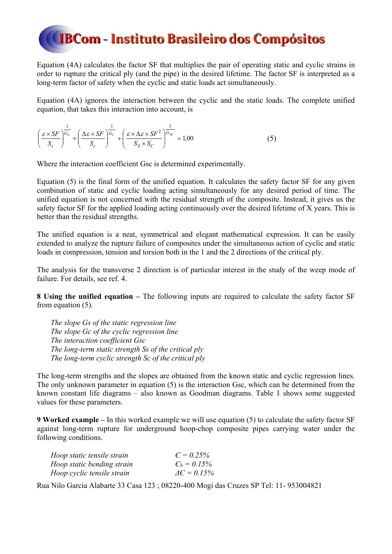Equation (4A) calculates the factor SF that multiplies the pair of operating static and cyclic strains in order to rupture the critical ply (and the pipe) in the desired lifetime. The factor SF is interpreted as a long-term factor of safety when the cyclic and static loads act simultaneously.

Equation (4A) ignores the interaction between the cyclic and the static loads. The complete unified equation, that takes this interaction into account, is

$$
\left(\frac{\varepsilon \times SF}{S_s}\right)^{\frac{1}{G_s}} + \left(\frac{\Delta \varepsilon \times SF}{S_c}\right)^{\frac{1}{G_c}} + \left(\frac{\varepsilon \times \Delta \varepsilon \times SF^2}{S_s \times S_c}\right)^{\frac{1}{G_{SC}}} = 1,00
$$
\n(5)

Where the interaction coefficient Gsc is determined experimentally.

Equation (5) is the final form of the unified equation. It calculates the safety factor SF for any given combination of static and cyclic loading acting simultaneously for any desired period of time. The unified equation is not concerned with the residual strength of the composite. Instead, it gives us the safety factor SF for the applied loading acting continuously over the desired lifetime of X years. This is better than the residual strengths.

The unified equation is a neat, symmetrical and elegant mathematical expression. It can be easily extended to analyze the rupture failure of composites under the simultaneous action of cyclic and static loads in compression, tension and torsion both in the 1 and the 2 directions of the critical ply.

The analysis for the transverse 2 direction is of particular interest in the study of the weep mode of failure. For details, see ref. 4.

**8 Using the unified equation –** The following inputs are required to calculate the safety factor SF from equation (5).

*The slope Gs of the static regression line The slope Gc of the cyclic regression line The interaction coefficient Gsc The long-term static strength Ss of the critical ply The long-term cyclic strength Sc of the critical ply*

The long-term strengths and the slopes are obtained from the known static and cyclic regression lines. The only unknown parameter in equation (5) is the interaction Gsc, which can be determined from the known constant life diagrams – also known as Goodman diagrams. Table 1 shows some suggested values for these parameters.

**9 Worked example –** In this worked example we will use equation (5) to calculate the safety factor SF against long-term rupture for underground hoop-chop composite pipes carrying water under the following conditions.

| Hoop static tensile strain | $C = 0.25\%$               |
|----------------------------|----------------------------|
| Hoop static bending strain | $C_b = 0.15\%$             |
| Hoop cyclic tensile strain | $\Delta \epsilon = 0.15\%$ |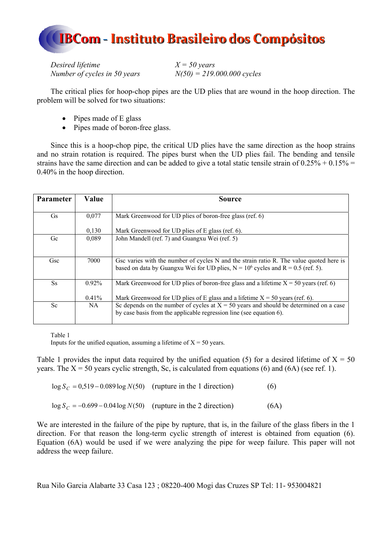

*Desired lifetime*  $X = 50 \text{ years}$ *Number of cycles in 50 years N(50) = 219.000.000 cycles* 

The critical plies for hoop-chop pipes are the UD plies that are wound in the hoop direction. The problem will be solved for two situations:

- $\bullet$  Pipes made of E glass
- Pipes made of boron-free glass.

Since this is a hoop-chop pipe, the critical UD plies have the same direction as the hoop strains and no strain rotation is required. The pipes burst when the UD plies fail. The bending and tensile strains have the same direction and can be added to give a total static tensile strain of  $0.25\% + 0.15\% =$ 0.40% in the hoop direction.

| <b>Parameter</b> | Value    | Source                                                                                                                                                                          |
|------------------|----------|---------------------------------------------------------------------------------------------------------------------------------------------------------------------------------|
| <b>Gs</b>        | 0,077    | Mark Greenwood for UD plies of boron-free glass (ref. 6)                                                                                                                        |
|                  | 0,130    | Mark Greenwood for UD plies of E glass (ref. 6).                                                                                                                                |
| Gc               | 0,089    | John Mandell (ref. 7) and Guangxu Wei (ref. 5)                                                                                                                                  |
| Gsc              | 7000     | Gsc varies with the number of cycles N and the strain ratio R. The value quoted here is<br>based on data by Guangxu Wei for UD plies, $N = 10^6$ cycles and $R = 0.5$ (ref. 5). |
| <b>Ss</b>        | $0.92\%$ | Mark Greenwood for UD plies of boron-free glass and a lifetime $X = 50$ years (ref. 6)                                                                                          |
|                  | $0.41\%$ | Mark Greenwood for UD plies of E glass and a lifetime $X = 50$ years (ref. 6).                                                                                                  |
| Sc               | NA.      | Sc depends on the number of cycles at $X = 50$ years and should be determined on a case<br>by case basis from the applicable regression line (see equation 6).                  |

Table 1

Inputs for the unified equation, assuming a lifetime of  $X = 50$  years.

Table 1 provides the input data required by the unified equation (5) for a desired lifetime of  $X = 50$ years. The  $X = 50$  years cyclic strength, Sc, is calculated from equations (6) and (6A) (see ref. 1).

| $\log S_C = 0.519 - 0.089 \log N(50)$ (rupture in the 1 direction) | (6)  |
|--------------------------------------------------------------------|------|
| $\log S_C = -0.699 - 0.04 \log N(50)$ (rupture in the 2 direction) | (6A) |

We are interested in the failure of the pipe by rupture, that is, in the failure of the glass fibers in the 1 direction. For that reason the long-term cyclic strength of interest is obtained from equation (6). Equation (6A) would be used if we were analyzing the pipe for weep failure. This paper will not address the weep failure.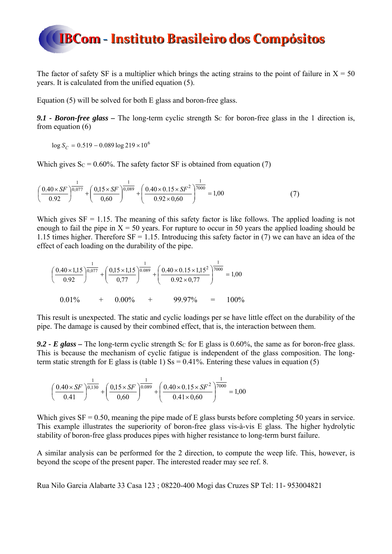

The factor of safety SF is a multiplier which brings the acting strains to the point of failure in  $X = 50$ years. It is calculated from the unified equation (5).

Equation (5) will be solved for both E glass and boron-free glass.

*9.1 - Boron-free glass –* The long-term cyclic strength SC for boron-free glass in the 1 direction is, from equation (6)

 $\log S_C = 0.519 - 0.089 \log 219 \times 10^6$ 

Which gives  $Sc = 0.60\%$ . The safety factor SF is obtained from equation (7)

$$
\left(\frac{0.40 \times SF}{0.92}\right)^{\frac{1}{0.077}} + \left(\frac{0.15 \times SF}{0.60}\right)^{\frac{1}{0.089}} + \left(\frac{0.40 \times 0.15 \times SF^2}{0.92 \times 0.60}\right)^{\frac{1}{7000}} = 1.00\tag{7}
$$

Which gives  $SF = 1.15$ . The meaning of this safety factor is like follows. The applied loading is not enough to fail the pipe in  $X = 50$  years. For rupture to occur in 50 years the applied loading should be 1.15 times higher. Therefore  $SF = 1.15$ . Introducing this safety factor in (7) we can have an idea of the effect of each loading on the durability of the pipe.

$$
\left(\frac{0.40 \times 1,15}{0.92}\right)^{\frac{1}{0.077}} + \left(\frac{0,15 \times 1,15}{0,77}\right)^{\frac{1}{0.089}} + \left(\frac{0.40 \times 0.15 \times 1,15^2}{0.92 \times 0,77}\right)^{\frac{1}{7000}} = 1,00
$$
  
0.01% + 0.00% + 99.97% = 100%

This result is unexpected. The static and cyclic loadings per se have little effect on the durability of the pipe. The damage is caused by their combined effect, that is, the interaction between them.

**9.2 - E glass –** The long-term cyclic strength Sc for E glass is  $0.60\%$ , the same as for boron-free glass. This is because the mechanism of cyclic fatigue is independent of the glass composition. The longterm static strength for E glass is (table 1)  $\text{Ss} = 0.41\%$ . Entering these values in equation (5)

$$
\left(\frac{0.40 \times SF}{0.41}\right)^{\frac{1}{0,130}} + \left(\frac{0.15 \times SF}{0.60}\right)^{\frac{1}{0.089}} + \left(\frac{0.40 \times 0.15 \times SF^2}{0.41 \times 0.60}\right)^{\frac{1}{7000}} = 1,00
$$

Which gives  $SF = 0.50$ , meaning the pipe made of E glass bursts before completing 50 years in service. This example illustrates the superiority of boron-free glass vis-à-vis E glass. The higher hydrolytic stability of boron-free glass produces pipes with higher resistance to long-term burst failure.

A similar analysis can be performed for the 2 direction, to compute the weep life. This, however, is beyond the scope of the present paper. The interested reader may see ref. 8.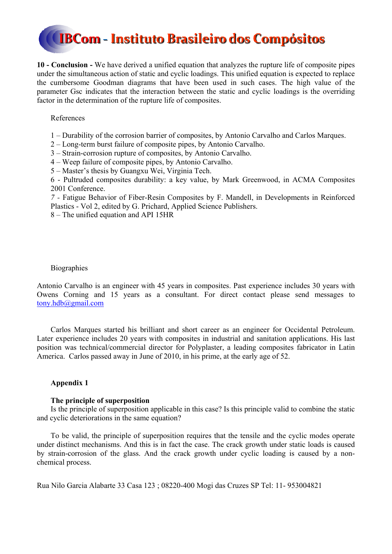**10 - Conclusion -** We have derived a unified equation that analyzes the rupture life of composite pipes under the simultaneous action of static and cyclic loadings. This unified equation is expected to replace the cumbersome Goodman diagrams that have been used in such cases. The high value of the parameter Gsc indicates that the interaction between the static and cyclic loadings is the overriding factor in the determination of the rupture life of composites.

#### References

- 1 Durability of the corrosion barrier of composites, by Antonio Carvalho and Carlos Marques.
- 2 Long-term burst failure of composite pipes, by Antonio Carvalho.
- 3 Strain-corrosion rupture of composites, by Antonio Carvalho.
- 4 Weep failure of composite pipes, by Antonio Carvalho.
- 5 Master's thesis by Guangxu Wei, Virginia Tech.

6 - Pultruded composites durability: a key value, by Mark Greenwood, in ACMA Composites 2001 Conference.

*7 -* Fatigue Behavior of Fiber-Resin Composites by F. Mandell, in Developments in Reinforced Plastics - Vol 2, edited by G. Prichard, Applied Science Publishers.

8 – The unified equation and API 15HR

#### **Biographies**

Antonio Carvalho is an engineer with 45 years in composites. Past experience includes 30 years with Owens Corning and 15 years as a consultant. For direct contact please send messages to tony.hdb@gmail.com

Carlos Marques started his brilliant and short career as an engineer for Occidental Petroleum. Later experience includes 20 years with composites in industrial and sanitation applications. His last position was technical/commercial director for Polyplaster, a leading composites fabricator in Latin America. Carlos passed away in June of 2010, in his prime, at the early age of 52.

#### **Appendix 1**

#### **The principle of superposition**

Is the principle of superposition applicable in this case? Is this principle valid to combine the static and cyclic deteriorations in the same equation?

To be valid, the principle of superposition requires that the tensile and the cyclic modes operate under distinct mechanisms. And this is in fact the case. The crack growth under static loads is caused by strain-corrosion of the glass. And the crack growth under cyclic loading is caused by a nonchemical process.